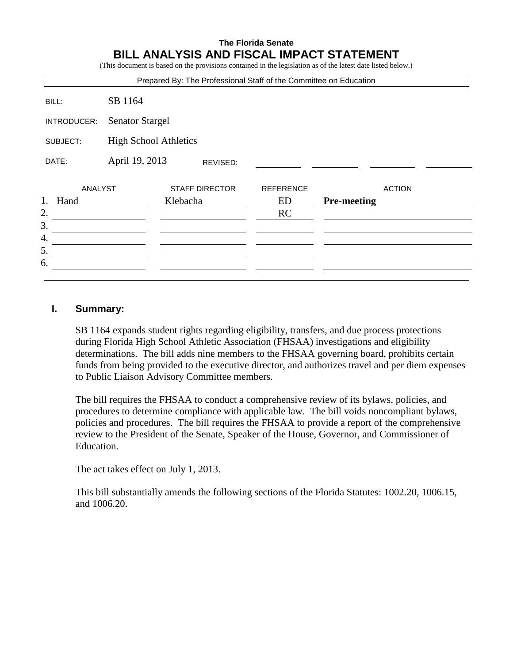### **The Florida Senate BILL ANALYSIS AND FISCAL IMPACT STATEMENT**

(This document is based on the provisions contained in the legislation as of the latest date listed below.)

|             |                              | Prepared By: The Professional Staff of the Committee on Education |                  |                    |
|-------------|------------------------------|-------------------------------------------------------------------|------------------|--------------------|
| BILL:       | SB 1164                      |                                                                   |                  |                    |
| INTRODUCER: | <b>Senator Stargel</b>       |                                                                   |                  |                    |
| SUBJECT:    | <b>High School Athletics</b> |                                                                   |                  |                    |
| DATE:       | April 19, 2013               | REVISED:                                                          |                  |                    |
| ANALYST     |                              | <b>STAFF DIRECTOR</b>                                             | <b>REFERENCE</b> | <b>ACTION</b>      |
| 1.<br>Hand  |                              | Klebacha                                                          | ED               | <b>Pre-meeting</b> |
| 2.          |                              |                                                                   | RC               |                    |
| 3.          |                              |                                                                   |                  |                    |
| 4.          |                              |                                                                   |                  |                    |
| 5.          |                              |                                                                   |                  |                    |
| 6.          |                              |                                                                   |                  |                    |
|             |                              |                                                                   |                  |                    |

#### **I. Summary:**

SB 1164 expands student rights regarding eligibility, transfers, and due process protections during Florida High School Athletic Association (FHSAA) investigations and eligibility determinations. The bill adds nine members to the FHSAA governing board, prohibits certain funds from being provided to the executive director, and authorizes travel and per diem expenses to Public Liaison Advisory Committee members.

The bill requires the FHSAA to conduct a comprehensive review of its bylaws, policies, and procedures to determine compliance with applicable law. The bill voids noncompliant bylaws, policies and procedures. The bill requires the FHSAA to provide a report of the comprehensive review to the President of the Senate, Speaker of the House, Governor, and Commissioner of Education.

The act takes effect on July 1, 2013.

This bill substantially amends the following sections of the Florida Statutes: 1002.20, 1006.15, and 1006.20.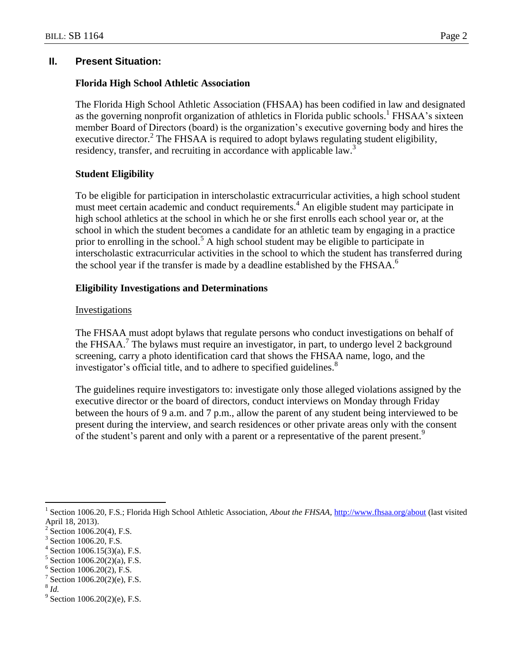## **II. Present Situation:**

## **Florida High School Athletic Association**

The Florida High School Athletic Association (FHSAA) has been codified in law and designated as the governing nonprofit organization of athletics in Florida public schools.<sup>1</sup> FHSAA's sixteen member Board of Directors (board) is the organization's executive governing body and hires the executive director.<sup>2</sup> The FHSAA is required to adopt bylaws regulating student eligibility, residency, transfer, and recruiting in accordance with applicable law.<sup>3</sup>

# **Student Eligibility**

To be eligible for participation in interscholastic extracurricular activities, a high school student must meet certain academic and conduct requirements.<sup>4</sup> An eligible student may participate in high school athletics at the school in which he or she first enrolls each school year or, at the school in which the student becomes a candidate for an athletic team by engaging in a practice prior to enrolling in the school.<sup>5</sup> A high school student may be eligible to participate in interscholastic extracurricular activities in the school to which the student has transferred during the school year if the transfer is made by a deadline established by the FHSAA.<sup>6</sup>

# **Eligibility Investigations and Determinations**

## Investigations

The FHSAA must adopt bylaws that regulate persons who conduct investigations on behalf of the FHSAA.<sup>7</sup> The bylaws must require an investigator, in part, to undergo level 2 background screening, carry a photo identification card that shows the FHSAA name, logo, and the investigator's official title, and to adhere to specified guidelines.<sup>8</sup>

The guidelines require investigators to: investigate only those alleged violations assigned by the executive director or the board of directors, conduct interviews on Monday through Friday between the hours of 9 a.m. and 7 p.m., allow the parent of any student being interviewed to be present during the interview, and search residences or other private areas only with the consent of the student's parent and only with a parent or a representative of the parent present.<sup>9</sup>

8 *Id.*

 $\overline{a}$ 1 Section 1006.20, F.S.; Florida High School Athletic Association, *About the FHSAA,* <http://www.fhsaa.org/about> (last visited April 18, 2013).

<sup>2</sup> Section 1006.20(4), F.S.

<sup>3</sup> Section 1006.20, F.S.

<sup>4</sup> Section 1006.15(3)(a), F.S.

<sup>5</sup> Section 1006.20(2)(a), F.S.

<sup>6</sup> Section 1006.20(2), F.S.

<sup>7</sup> Section 1006.20(2)(e), F.S.

 $9^9$  Section 1006.20(2)(e), F.S.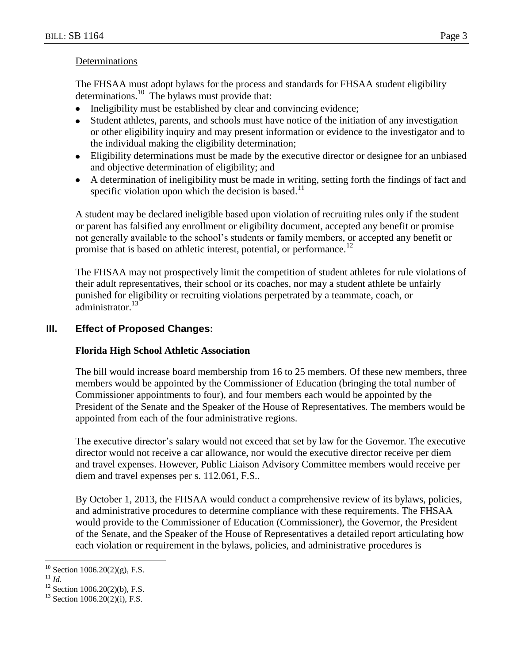#### Determinations

The FHSAA must adopt bylaws for the process and standards for FHSAA student eligibility determinations. <sup>10</sup> The bylaws must provide that:

- Ineligibility must be established by clear and convincing evidence;
- Student athletes, parents, and schools must have notice of the initiation of any investigation  $\bullet$ or other eligibility inquiry and may present information or evidence to the investigator and to the individual making the eligibility determination;
- Eligibility determinations must be made by the executive director or designee for an unbiased and objective determination of eligibility; and
- A determination of ineligibility must be made in writing, setting forth the findings of fact and specific violation upon which the decision is based.<sup>11</sup>

A student may be declared ineligible based upon violation of recruiting rules only if the student or parent has falsified any enrollment or eligibility document, accepted any benefit or promise not generally available to the school's students or family members, or accepted any benefit or promise that is based on athletic interest, potential, or performance.<sup>12</sup>

The FHSAA may not prospectively limit the competition of student athletes for rule violations of their adult representatives, their school or its coaches, nor may a student athlete be unfairly punished for eligibility or recruiting violations perpetrated by a teammate, coach, or administrator.<sup>13</sup>

## **III. Effect of Proposed Changes:**

## **Florida High School Athletic Association**

The bill would increase board membership from 16 to 25 members. Of these new members, three members would be appointed by the Commissioner of Education (bringing the total number of Commissioner appointments to four), and four members each would be appointed by the President of the Senate and the Speaker of the House of Representatives. The members would be appointed from each of the four administrative regions.

The executive director's salary would not exceed that set by law for the Governor. The executive director would not receive a car allowance, nor would the executive director receive per diem and travel expenses. However, Public Liaison Advisory Committee members would receive per diem and travel expenses per s. 112.061, F.S..

By October 1, 2013, the FHSAA would conduct a comprehensive review of its bylaws, policies, and administrative procedures to determine compliance with these requirements. The FHSAA would provide to the Commissioner of Education (Commissioner), the Governor, the President of the Senate, and the Speaker of the House of Representatives a detailed report articulating how each violation or requirement in the bylaws, policies, and administrative procedures is

 $\overline{a}$  $^{10}$  Section 1006.20(2)(g), F.S.

 $\prod_{i=1}^{11} \tilde{I}$ *id.* 

 $12$  Section 1006.20(2)(b), F.S.

 $13$  Section 1006.20(2)(i), F.S.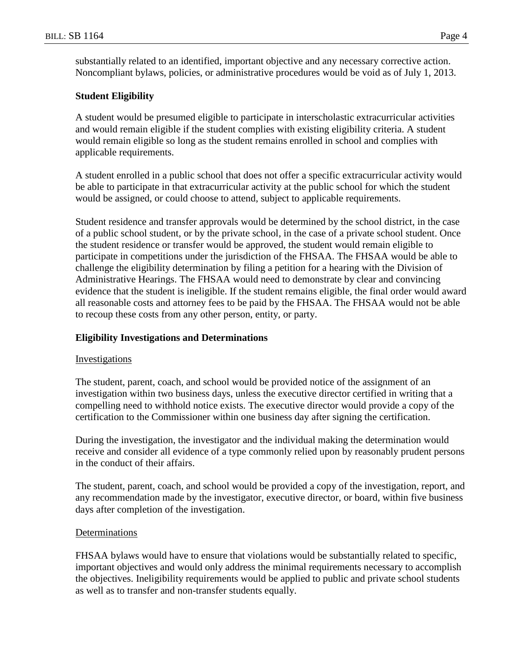substantially related to an identified, important objective and any necessary corrective action. Noncompliant bylaws, policies, or administrative procedures would be void as of July 1, 2013.

#### **Student Eligibility**

A student would be presumed eligible to participate in interscholastic extracurricular activities and would remain eligible if the student complies with existing eligibility criteria. A student would remain eligible so long as the student remains enrolled in school and complies with applicable requirements.

A student enrolled in a public school that does not offer a specific extracurricular activity would be able to participate in that extracurricular activity at the public school for which the student would be assigned, or could choose to attend, subject to applicable requirements.

Student residence and transfer approvals would be determined by the school district, in the case of a public school student, or by the private school, in the case of a private school student. Once the student residence or transfer would be approved, the student would remain eligible to participate in competitions under the jurisdiction of the FHSAA. The FHSAA would be able to challenge the eligibility determination by filing a petition for a hearing with the Division of Administrative Hearings. The FHSAA would need to demonstrate by clear and convincing evidence that the student is ineligible. If the student remains eligible, the final order would award all reasonable costs and attorney fees to be paid by the FHSAA. The FHSAA would not be able to recoup these costs from any other person, entity, or party.

#### **Eligibility Investigations and Determinations**

#### Investigations

The student, parent, coach, and school would be provided notice of the assignment of an investigation within two business days, unless the executive director certified in writing that a compelling need to withhold notice exists. The executive director would provide a copy of the certification to the Commissioner within one business day after signing the certification.

During the investigation, the investigator and the individual making the determination would receive and consider all evidence of a type commonly relied upon by reasonably prudent persons in the conduct of their affairs.

The student, parent, coach, and school would be provided a copy of the investigation, report, and any recommendation made by the investigator, executive director, or board, within five business days after completion of the investigation.

#### Determinations

FHSAA bylaws would have to ensure that violations would be substantially related to specific, important objectives and would only address the minimal requirements necessary to accomplish the objectives. Ineligibility requirements would be applied to public and private school students as well as to transfer and non-transfer students equally.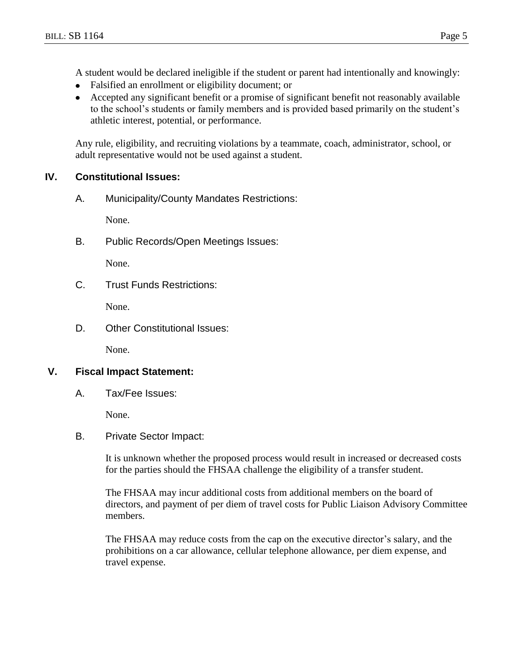A student would be declared ineligible if the student or parent had intentionally and knowingly:

- $\bullet$ Falsified an enrollment or eligibility document; or
- Accepted any significant benefit or a promise of significant benefit not reasonably available  $\bullet$ to the school's students or family members and is provided based primarily on the student's athletic interest, potential, or performance.

Any rule, eligibility, and recruiting violations by a teammate, coach, administrator, school, or adult representative would not be used against a student.

### **IV. Constitutional Issues:**

A. Municipality/County Mandates Restrictions:

None.

B. Public Records/Open Meetings Issues:

None.

C. Trust Funds Restrictions:

None.

D. Other Constitutional Issues:

None.

### **V. Fiscal Impact Statement:**

A. Tax/Fee Issues:

None.

B. Private Sector Impact:

It is unknown whether the proposed process would result in increased or decreased costs for the parties should the FHSAA challenge the eligibility of a transfer student.

The FHSAA may incur additional costs from additional members on the board of directors, and payment of per diem of travel costs for Public Liaison Advisory Committee members.

The FHSAA may reduce costs from the cap on the executive director's salary, and the prohibitions on a car allowance, cellular telephone allowance, per diem expense, and travel expense.